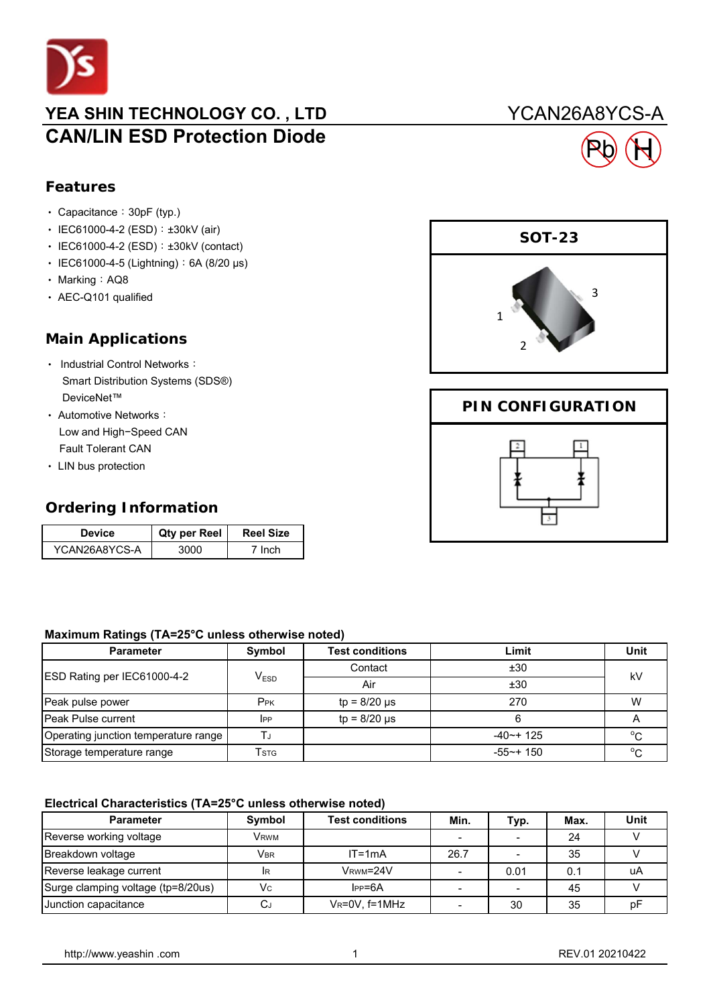

### YEA SHIN TECHNOLOGY CO., LTD YCAN26A8YCS-A **CAN/LIN ESD Protection Diode**

## **Features**

- Capacitance: 30pF (typ.)
- IEC61000-4-2 (ESD): ±30kV (air)
- IEC61000-4-2 (ESD): ±30kV (contact)
- ‧ IEC61000-4-5 (Lightning):6A (8/20 μs)
- Marking: AQ8
- ‧ AEC-Q101 qualified

#### **Main Applications**

- Industrial Control Networks: Smart Distribution Systems (SDS®) DeviceNet™
- ‧ Automotive Networks: Low and High−Speed CAN Fault Tolerant CAN
- ‧ LIN bus protection

#### **Ordering Information**

| Device        | <b>Qty per Reel</b> | <b>Reel Size</b> |
|---------------|---------------------|------------------|
| YCAN26A8YCS-A |                     | Inch             |

#### **Maximum Ratings (TA=25°C unless otherwise noted)**

| <b>Parameter</b>                     | Symbol           | <b>Test conditions</b> | Limit           | Unit       |  |
|--------------------------------------|------------------|------------------------|-----------------|------------|--|
| ESD Rating per IEC61000-4-2          | V <sub>ESD</sub> | Contact                | ±30             | kV         |  |
|                                      |                  | Air                    | ±30             |            |  |
| Peak pulse power                     | P <sub>PK</sub>  | $tp = 8/20 \mu s$      | 270             | W          |  |
| <b>Peak Pulse current</b>            | $_{\rm lPP}$     | $tp = 8/20 \mu s$      |                 |            |  |
| Operating junction temperature range |                  |                        | $-40$ $-$ + 125 | $^{\circ}$ |  |
| Storage temperature range            | Tstg             |                        | $-55$ ~+ 150    | $\circ$    |  |

#### **Electrical Characteristics (TA=25°C unless otherwise noted)**

| <b>Parameter</b>                   | <b>Symbol</b>           | <b>Test conditions</b> | Min. | Typ. | Max. | <b>Unit</b> |
|------------------------------------|-------------------------|------------------------|------|------|------|-------------|
| Reverse working voltage            | <b>V</b> <sub>RWM</sub> |                        |      |      | 24   |             |
| Breakdown voltage                  | <b>VBR</b>              | $IT = 1mA$             | 26.7 |      | 35   |             |
| Reverse leakage current            | <b>IR</b>               | VRWM=24V               |      | 0.01 | 0.1  | uA          |
| Surge clamping voltage (tp=8/20us) | Vc                      | $IPP = 6A$             |      |      | 45   |             |
| Junction capacitance               | لىر                     | VR=0V, f=1MHz          |      | 30   | 35   | рF          |



Pb H

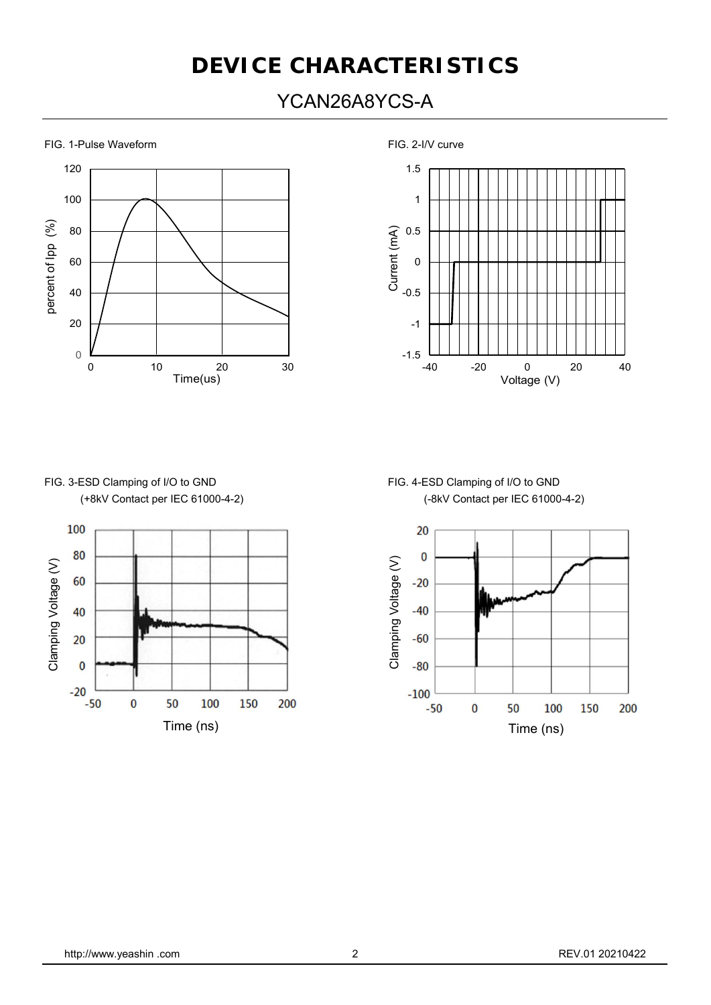# **DEVICE CHARACTERISTICS**

## YCAN26A8YCS-A

FIG. 1-Pulse Waveform **FIG. 2-I/V** curve





# FIG. 3-ESD Clamping of I/O to GND FIG. 4-ESD Clamping of I/O to GND



# (+8kV Contact per IEC 61000-4-2) (-8kV Contact per IEC 61000-4-2)